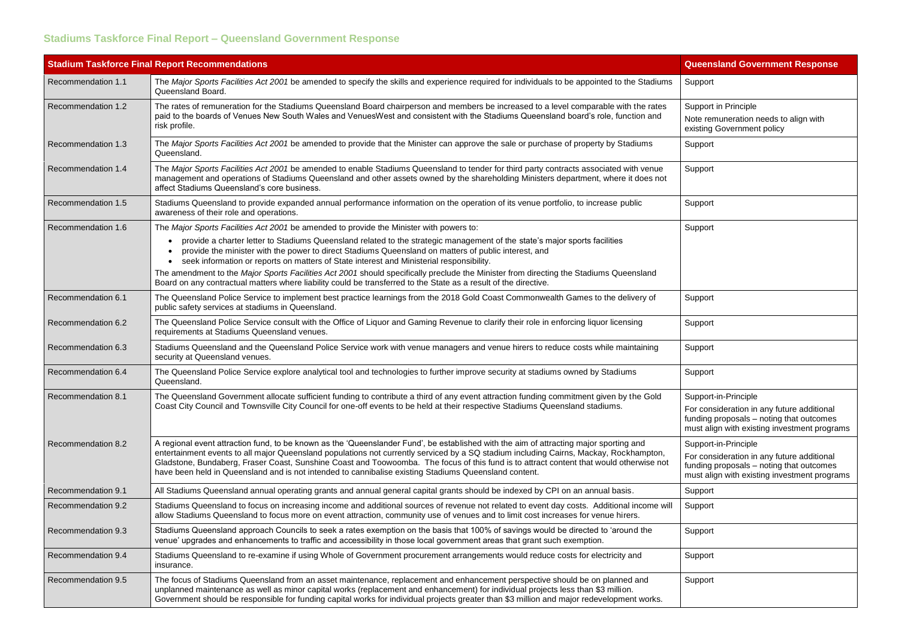## **Stadiums Taskforce Final Report – Queensland Government Response**

| <b>Stadium Taskforce Final Report Recommendations</b> |                                                                                                                                                                                                                                                                                                                                                                                                                                                                                                                                      | <b>Queensland Government Response</b>                                                                                                |
|-------------------------------------------------------|--------------------------------------------------------------------------------------------------------------------------------------------------------------------------------------------------------------------------------------------------------------------------------------------------------------------------------------------------------------------------------------------------------------------------------------------------------------------------------------------------------------------------------------|--------------------------------------------------------------------------------------------------------------------------------------|
| Recommendation 1.1                                    | The Major Sports Facilities Act 2001 be amended to specify the skills and experience required for individuals to be appointed to the Stadiums<br>Queensland Board.                                                                                                                                                                                                                                                                                                                                                                   | Support                                                                                                                              |
| Recommendation 1.2                                    | The rates of remuneration for the Stadiums Queensland Board chairperson and members be increased to a level comparable with the rates<br>paid to the boards of Venues New South Wales and VenuesWest and consistent with the Stadiums Queensland board's role, function and<br>risk profile.                                                                                                                                                                                                                                         | Support in Principle<br>Note remuneration needs to align with<br>existing Government policy                                          |
| Recommendation 1.3                                    | The Major Sports Facilities Act 2001 be amended to provide that the Minister can approve the sale or purchase of property by Stadiums<br>Queensland.                                                                                                                                                                                                                                                                                                                                                                                 | Support                                                                                                                              |
| Recommendation 1.4                                    | The Major Sports Facilities Act 2001 be amended to enable Stadiums Queensland to tender for third party contracts associated with venue<br>management and operations of Stadiums Queensland and other assets owned by the shareholding Ministers department, where it does not<br>affect Stadiums Queensland's core business.                                                                                                                                                                                                        | Support                                                                                                                              |
| Recommendation 1.5                                    | Stadiums Queensland to provide expanded annual performance information on the operation of its venue portfolio, to increase public<br>awareness of their role and operations.                                                                                                                                                                                                                                                                                                                                                        | Support                                                                                                                              |
| Recommendation 1.6                                    | The Major Sports Facilities Act 2001 be amended to provide the Minister with powers to:                                                                                                                                                                                                                                                                                                                                                                                                                                              | Support                                                                                                                              |
|                                                       | provide a charter letter to Stadiums Queensland related to the strategic management of the state's major sports facilities<br>provide the minister with the power to direct Stadiums Queensland on matters of public interest, and<br>seek information or reports on matters of State interest and Ministerial responsibility.                                                                                                                                                                                                       |                                                                                                                                      |
|                                                       | The amendment to the Major Sports Facilities Act 2001 should specifically preclude the Minister from directing the Stadiums Queensland<br>Board on any contractual matters where liability could be transferred to the State as a result of the directive.                                                                                                                                                                                                                                                                           |                                                                                                                                      |
| Recommendation 6.1                                    | The Queensland Police Service to implement best practice learnings from the 2018 Gold Coast Commonwealth Games to the delivery of<br>public safety services at stadiums in Queensland.                                                                                                                                                                                                                                                                                                                                               | Support                                                                                                                              |
| Recommendation 6.2                                    | The Queensland Police Service consult with the Office of Liquor and Gaming Revenue to clarify their role in enforcing liquor licensing<br>requirements at Stadiums Queensland venues.                                                                                                                                                                                                                                                                                                                                                | Support                                                                                                                              |
| Recommendation 6.3                                    | Stadiums Queensland and the Queensland Police Service work with venue managers and venue hirers to reduce costs while maintaining<br>security at Queensland venues.                                                                                                                                                                                                                                                                                                                                                                  | Support                                                                                                                              |
| Recommendation 6.4                                    | The Queensland Police Service explore analytical tool and technologies to further improve security at stadiums owned by Stadiums<br>Queensland.                                                                                                                                                                                                                                                                                                                                                                                      | Support                                                                                                                              |
| Recommendation 8.1                                    | The Queensland Government allocate sufficient funding to contribute a third of any event attraction funding commitment given by the Gold<br>Coast City Council and Townsville City Council for one-off events to be held at their respective Stadiums Queensland stadiums.                                                                                                                                                                                                                                                           | Support-in-Principle                                                                                                                 |
|                                                       |                                                                                                                                                                                                                                                                                                                                                                                                                                                                                                                                      | For consideration in any future additional<br>funding proposals - noting that outcomes<br>must align with existing investment progra |
| Recommendation 8.2                                    | A regional event attraction fund, to be known as the 'Queenslander Fund', be established with the aim of attracting major sporting and<br>entertainment events to all major Queensland populations not currently serviced by a SQ stadium including Cairns, Mackay, Rockhampton,<br>Gladstone, Bundaberg, Fraser Coast, Sunshine Coast and Toowoomba. The focus of this fund is to attract content that would otherwise not<br>have been held in Queensland and is not intended to cannibalise existing Stadiums Queensland content. | Support-in-Principle                                                                                                                 |
|                                                       |                                                                                                                                                                                                                                                                                                                                                                                                                                                                                                                                      | For consideration in any future additional<br>funding proposals - noting that outcomes<br>must align with existing investment progra |
| Recommendation 9.1                                    | All Stadiums Queensland annual operating grants and annual general capital grants should be indexed by CPI on an annual basis.                                                                                                                                                                                                                                                                                                                                                                                                       | Support                                                                                                                              |
| Recommendation 9.2                                    | Stadiums Queensland to focus on increasing income and additional sources of revenue not related to event day costs. Additional income will<br>allow Stadiums Queensland to focus more on event attraction, community use of venues and to limit cost increases for venue hirers.                                                                                                                                                                                                                                                     | Support                                                                                                                              |
| Recommendation 9.3                                    | Stadiums Queensland approach Councils to seek a rates exemption on the basis that 100% of savings would be directed to 'around the<br>venue' upgrades and enhancements to traffic and accessibility in those local government areas that grant such exemption.                                                                                                                                                                                                                                                                       | Support                                                                                                                              |
| Recommendation 9.4                                    | Stadiums Queensland to re-examine if using Whole of Government procurement arrangements would reduce costs for electricity and<br>insurance.                                                                                                                                                                                                                                                                                                                                                                                         | Support                                                                                                                              |
| Recommendation 9.5                                    | The focus of Stadiums Queensland from an asset maintenance, replacement and enhancement perspective should be on planned and<br>unplanned maintenance as well as minor capital works (replacement and enhancement) for individual projects less than \$3 million.<br>Government should be responsible for funding capital works for individual projects greater than \$3 million and major redevelopment works.                                                                                                                      | Support                                                                                                                              |

| <b>Queensland Government Response</b>                                                                                                  |
|----------------------------------------------------------------------------------------------------------------------------------------|
| Support                                                                                                                                |
| <b>Support in Principle</b><br>Note remuneration needs to align with<br>existing Government policy                                     |
| Support                                                                                                                                |
| Support                                                                                                                                |
| Support                                                                                                                                |
| Support                                                                                                                                |
| Support                                                                                                                                |
| Support                                                                                                                                |
| Support                                                                                                                                |
| Support                                                                                                                                |
| Support-in-Principle                                                                                                                   |
| For consideration in any future additional<br>funding proposals - noting that outcomes<br>must align with existing investment programs |
| Support-in-Principle                                                                                                                   |
| For consideration in any future additional<br>funding proposals - noting that outcomes<br>must align with existing investment programs |
| Support                                                                                                                                |
| Support                                                                                                                                |
| Support                                                                                                                                |
| Support                                                                                                                                |
| Support                                                                                                                                |